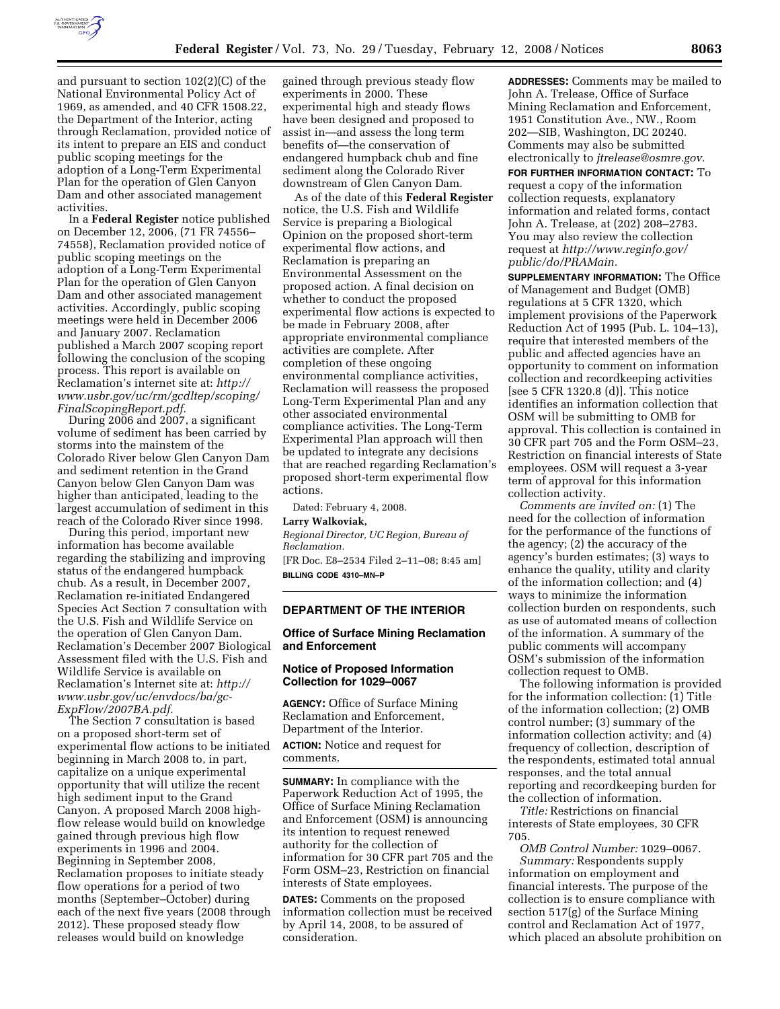

and pursuant to section 102(2)(C) of the National Environmental Policy Act of 1969, as amended, and 40 CFR 1508.22, the Department of the Interior, acting through Reclamation, provided notice of its intent to prepare an EIS and conduct public scoping meetings for the adoption of a Long-Term Experimental Plan for the operation of Glen Canyon Dam and other associated management activities.

In a **Federal Register** notice published on December 12, 2006, (71 FR 74556– 74558), Reclamation provided notice of public scoping meetings on the adoption of a Long-Term Experimental Plan for the operation of Glen Canyon Dam and other associated management activities. Accordingly, public scoping meetings were held in December 2006 and January 2007. Reclamation published a March 2007 scoping report following the conclusion of the scoping process. This report is available on Reclamation's internet site at: *http:// www.usbr.gov/uc/rm/gcdltep/scoping/ FinalScopingReport.pdf.* 

During 2006 and 2007, a significant volume of sediment has been carried by storms into the mainstem of the Colorado River below Glen Canyon Dam and sediment retention in the Grand Canyon below Glen Canyon Dam was higher than anticipated, leading to the largest accumulation of sediment in this reach of the Colorado River since 1998.

During this period, important new information has become available regarding the stabilizing and improving status of the endangered humpback chub. As a result, in December 2007, Reclamation re-initiated Endangered Species Act Section 7 consultation with the U.S. Fish and Wildlife Service on the operation of Glen Canyon Dam. Reclamation's December 2007 Biological Assessment filed with the U.S. Fish and Wildlife Service is available on Reclamation's Internet site at: *http:// www.usbr.gov/uc/envdocs/ba/gc-ExpFlow/2007BA.pdf.* 

The Section 7 consultation is based on a proposed short-term set of experimental flow actions to be initiated beginning in March 2008 to, in part, capitalize on a unique experimental opportunity that will utilize the recent high sediment input to the Grand Canyon. A proposed March 2008 highflow release would build on knowledge gained through previous high flow experiments in 1996 and 2004. Beginning in September 2008, Reclamation proposes to initiate steady flow operations for a period of two months (September–October) during each of the next five years (2008 through 2012). These proposed steady flow releases would build on knowledge

gained through previous steady flow experiments in 2000. These experimental high and steady flows have been designed and proposed to assist in—and assess the long term benefits of—the conservation of endangered humpback chub and fine sediment along the Colorado River downstream of Glen Canyon Dam.

As of the date of this **Federal Register**  notice, the U.S. Fish and Wildlife Service is preparing a Biological Opinion on the proposed short-term experimental flow actions, and Reclamation is preparing an Environmental Assessment on the proposed action. A final decision on whether to conduct the proposed experimental flow actions is expected to be made in February 2008, after appropriate environmental compliance activities are complete. After completion of these ongoing environmental compliance activities, Reclamation will reassess the proposed Long-Term Experimental Plan and any other associated environmental compliance activities. The Long-Term Experimental Plan approach will then be updated to integrate any decisions that are reached regarding Reclamation's proposed short-term experimental flow actions.

Dated: February 4, 2008. **Larry Walkoviak,**  *Regional Director, UC Region, Bureau of* 

*Reclamation.*  [FR Doc. E8–2534 Filed 2–11–08; 8:45 am] **BILLING CODE 4310–MN–P** 

## **DEPARTMENT OF THE INTERIOR**

## **Office of Surface Mining Reclamation and Enforcement**

# **Notice of Proposed Information Collection for 1029–0067**

**AGENCY:** Office of Surface Mining Reclamation and Enforcement, Department of the Interior.

**ACTION:** Notice and request for comments.

**SUMMARY:** In compliance with the Paperwork Reduction Act of 1995, the Office of Surface Mining Reclamation and Enforcement (OSM) is announcing its intention to request renewed authority for the collection of information for 30 CFR part 705 and the Form OSM–23, Restriction on financial interests of State employees.

**DATES:** Comments on the proposed information collection must be received by April 14, 2008, to be assured of consideration.

**ADDRESSES:** Comments may be mailed to John A. Trelease, Office of Surface Mining Reclamation and Enforcement, 1951 Constitution Ave., NW., Room 202—SIB, Washington, DC 20240. Comments may also be submitted electronically to *jtrelease@osmre.gov.* 

**FOR FURTHER INFORMATION CONTACT:** To request a copy of the information collection requests, explanatory information and related forms, contact John A. Trelease, at (202) 208–2783. You may also review the collection request at *http://www.reginfo.gov/ public/do/PRAMain.* 

**SUPPLEMENTARY INFORMATION:** The Office of Management and Budget (OMB) regulations at 5 CFR 1320, which implement provisions of the Paperwork Reduction Act of 1995 (Pub. L. 104–13), require that interested members of the public and affected agencies have an opportunity to comment on information collection and recordkeeping activities [see 5 CFR 1320.8 (d)]. This notice identifies an information collection that OSM will be submitting to OMB for approval. This collection is contained in 30 CFR part 705 and the Form OSM–23, Restriction on financial interests of State employees. OSM will request a 3-year term of approval for this information collection activity.

*Comments are invited on:* (1) The need for the collection of information for the performance of the functions of the agency; (2) the accuracy of the agency's burden estimates; (3) ways to enhance the quality, utility and clarity of the information collection; and (4) ways to minimize the information collection burden on respondents, such as use of automated means of collection of the information. A summary of the public comments will accompany OSM's submission of the information collection request to OMB.

The following information is provided for the information collection: (1) Title of the information collection; (2) OMB control number; (3) summary of the information collection activity; and (4) frequency of collection, description of the respondents, estimated total annual responses, and the total annual reporting and recordkeeping burden for the collection of information.

*Title:* Restrictions on financial interests of State employees, 30 CFR 705.

*OMB Control Number:* 1029–0067. *Summary:* Respondents supply information on employment and financial interests. The purpose of the collection is to ensure compliance with section 517(g) of the Surface Mining control and Reclamation Act of 1977, which placed an absolute prohibition on